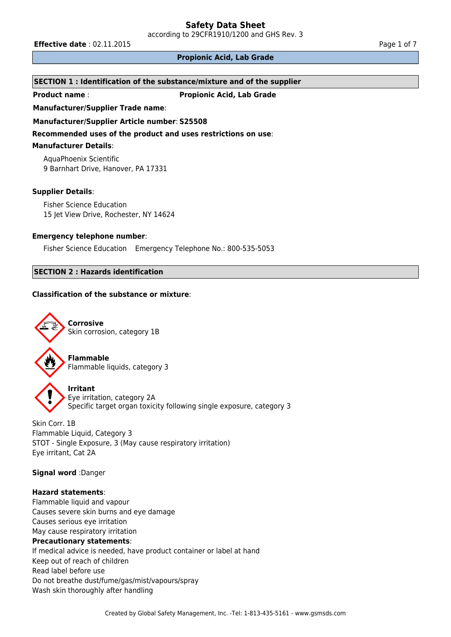according to 29CFR1910/1200 and GHS Rev. 3

**Effective date** : 02.11.2015 **Page 1 of 7 Page 1 of 7** 

## **Propionic Acid, Lab Grade**

#### **SECTION 1 : Identification of the substance/mixture and of the supplier**

**Product name** : **Propionic Acid, Lab Grade**

**Manufacturer/Supplier Trade name**:

**Manufacturer/Supplier Article number**: **S25508**

**Recommended uses of the product and uses restrictions on use**:

# **Manufacturer Details**:

AquaPhoenix Scientific 9 Barnhart Drive, Hanover, PA 17331

## **Supplier Details**:

Fisher Science Education 15 Jet View Drive, Rochester, NY 14624

## **Emergency telephone number**:

Fisher Science Education Emergency Telephone No.: 800-535-5053

# **SECTION 2 : Hazards identification**

## **Classification of the substance or mixture**:



**Flammable** Flammable liquids, category 3

**Irritant** Eye irritation, category 2A Specific target organ toxicity following single exposure, category 3

Skin Corr. 1B Flammable Liquid, Category 3 STOT - Single Exposure, 3 (May cause respiratory irritation) Eye irritant, Cat 2A

**Signal word** :Danger

# **Hazard statements**:

Flammable liquid and vapour Causes severe skin burns and eye damage Causes serious eye irritation May cause respiratory irritation **Precautionary statements**: If medical advice is needed, have product container or label at hand Keep out of reach of children Read label before use Do not breathe dust/fume/gas/mist/vapours/spray Wash skin thoroughly after handling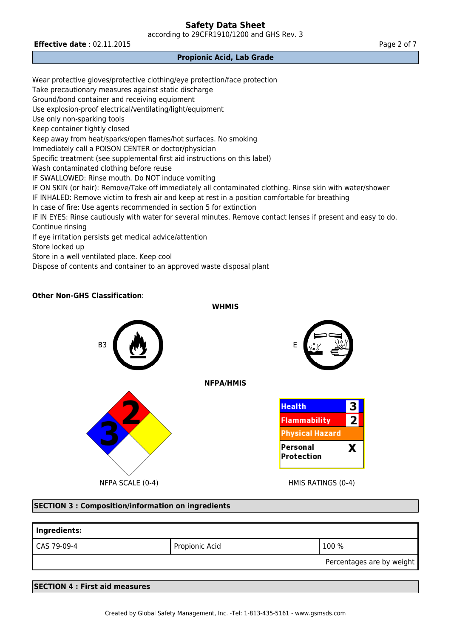according to 29CFR1910/1200 and GHS Rev. 3

**Effective date** : 02.11.2015 **Page 2 of 7 Page 2 of 7** 

# **Propionic Acid, Lab Grade**

Wear protective gloves/protective clothing/eye protection/face protection Take precautionary measures against static discharge Ground/bond container and receiving equipment Use explosion-proof electrical/ventilating/light/equipment Use only non-sparking tools Keep container tightly closed Keep away from heat/sparks/open flames/hot surfaces. No smoking Immediately call a POISON CENTER or doctor/physician Specific treatment (see supplemental first aid instructions on this label) Wash contaminated clothing before reuse IF SWALLOWED: Rinse mouth. Do NOT induce vomiting IF ON SKIN (or hair): Remove/Take off immediately all contaminated clothing. Rinse skin with water/shower IF INHALED: Remove victim to fresh air and keep at rest in a position comfortable for breathing In case of fire: Use agents recommended in section 5 for extinction IF IN EYES: Rinse cautiously with water for several minutes. Remove contact lenses if present and easy to do. Continue rinsing If eye irritation persists get medical advice/attention Store locked up Store in a well ventilated place. Keep cool Dispose of contents and container to an approved waste disposal plant

# **Other Non-GHS Classification**:

**WHMIS**



#### **SECTION 3 : Composition/information on ingredients**

| Ingredients: |                |                           |  |  |
|--------------|----------------|---------------------------|--|--|
| CAS 79-09-4  | Propionic Acid | 100 %                     |  |  |
|              |                | Percentages are by weight |  |  |
|              |                |                           |  |  |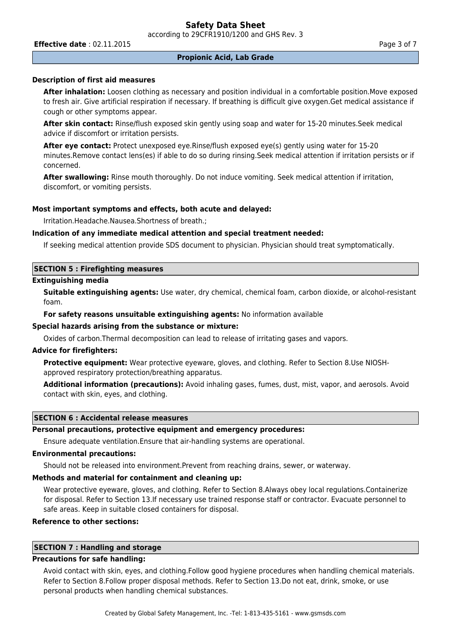according to 29CFR1910/1200 and GHS Rev. 3

**Effective date** : 02.11.2015 **Page 3 of 7 Page 3 of 7** 

## **Description of first aid measures**

**After inhalation:** Loosen clothing as necessary and position individual in a comfortable position.Move exposed to fresh air. Give artificial respiration if necessary. If breathing is difficult give oxygen.Get medical assistance if cough or other symptoms appear.

**After skin contact:** Rinse/flush exposed skin gently using soap and water for 15-20 minutes.Seek medical advice if discomfort or irritation persists.

**After eye contact:** Protect unexposed eye.Rinse/flush exposed eye(s) gently using water for 15-20 minutes.Remove contact lens(es) if able to do so during rinsing.Seek medical attention if irritation persists or if concerned.

**After swallowing:** Rinse mouth thoroughly. Do not induce vomiting. Seek medical attention if irritation, discomfort, or vomiting persists.

#### **Most important symptoms and effects, both acute and delayed:**

Irritation.Headache.Nausea.Shortness of breath.;

#### **Indication of any immediate medical attention and special treatment needed:**

If seeking medical attention provide SDS document to physician. Physician should treat symptomatically.

#### **SECTION 5 : Firefighting measures**

#### **Extinguishing media**

**Suitable extinguishing agents:** Use water, dry chemical, chemical foam, carbon dioxide, or alcohol-resistant foam.

**For safety reasons unsuitable extinguishing agents:** No information available

#### **Special hazards arising from the substance or mixture:**

Oxides of carbon.Thermal decomposition can lead to release of irritating gases and vapors.

#### **Advice for firefighters:**

**Protective equipment:** Wear protective eyeware, gloves, and clothing. Refer to Section 8.Use NIOSHapproved respiratory protection/breathing apparatus.

**Additional information (precautions):** Avoid inhaling gases, fumes, dust, mist, vapor, and aerosols. Avoid contact with skin, eyes, and clothing.

# **SECTION 6 : Accidental release measures**

# **Personal precautions, protective equipment and emergency procedures:**

Ensure adequate ventilation.Ensure that air-handling systems are operational.

# **Environmental precautions:**

Should not be released into environment.Prevent from reaching drains, sewer, or waterway.

# **Methods and material for containment and cleaning up:**

Wear protective eyeware, gloves, and clothing. Refer to Section 8.Always obey local regulations.Containerize for disposal. Refer to Section 13.If necessary use trained response staff or contractor. Evacuate personnel to safe areas. Keep in suitable closed containers for disposal.

# **Reference to other sections:**

# **SECTION 7 : Handling and storage**

# **Precautions for safe handling:**

Avoid contact with skin, eyes, and clothing.Follow good hygiene procedures when handling chemical materials. Refer to Section 8.Follow proper disposal methods. Refer to Section 13.Do not eat, drink, smoke, or use personal products when handling chemical substances.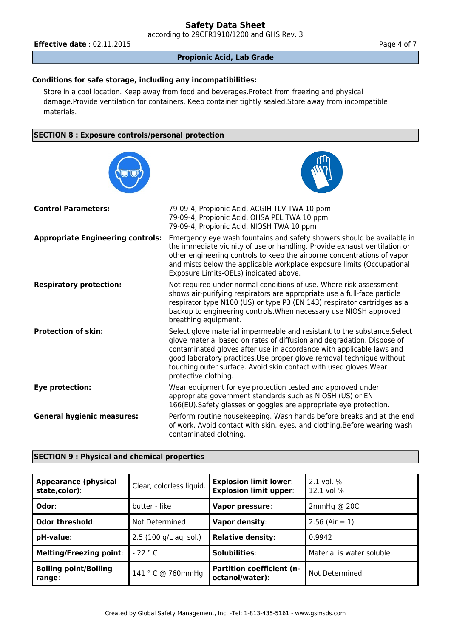according to 29CFR1910/1200 and GHS Rev. 3

**Effective date** : 02.11.2015 **Page 4 of 7 Page 4 of 7** 

**Propionic Acid, Lab Grade**

# **Conditions for safe storage, including any incompatibilities:**

Store in a cool location. Keep away from food and beverages.Protect from freezing and physical damage.Provide ventilation for containers. Keep container tightly sealed.Store away from incompatible materials.

## **SECTION 8 : Exposure controls/personal protection**



| <b>Appearance (physical</b><br>state,color): | Clear, colorless liquid. | <b>Explosion limit lower:</b><br><b>Explosion limit upper:</b> | $2.1$ vol. $%$<br>12.1 vol % |
|----------------------------------------------|--------------------------|----------------------------------------------------------------|------------------------------|
| Odor:                                        | butter - like            | Vapor pressure:                                                | $2$ mmHg @ 20C               |
| Odor threshold:                              | Not Determined           | Vapor density:                                                 | $2.56$ (Air = 1)             |
| pH-value:                                    | 2.5 (100 g/L aq. sol.)   | <b>Relative density:</b>                                       | 0.9942                       |
| <b>Melting/Freezing point:</b>               | $-22 °C$                 | Solubilities:                                                  | Material is water soluble.   |
| <b>Boiling point/Boiling</b><br>range:       | 141 ° C @ 760mmHg        | <b>Partition coefficient (n-</b><br>octanol/water):            | Not Determined               |

#### **SECTION 9 : Physical and chemical properties**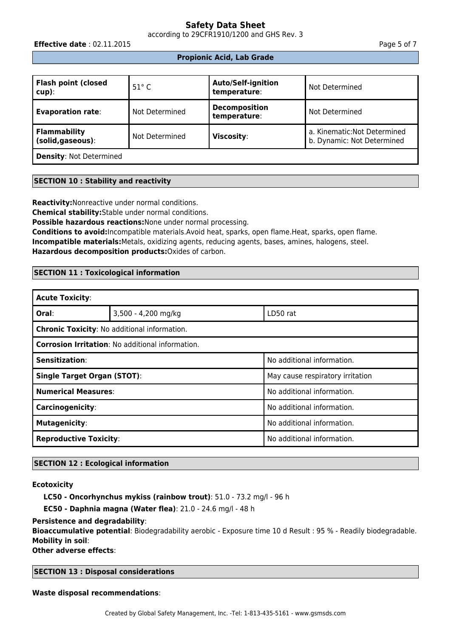according to 29CFR1910/1200 and GHS Rev. 3

**Effective date** : 02.11.2015 **Page 5 of 7** 

# **Propionic Acid, Lab Grade**

| <b>Flash point (closed</b><br>  cup):    | $51^\circ$ C   | <b>Auto/Self-ignition</b><br>temperature: | Not Determined                                             |
|------------------------------------------|----------------|-------------------------------------------|------------------------------------------------------------|
| <b>Evaporation rate:</b>                 | Not Determined | <b>Decomposition</b><br>temperature:      | Not Determined                                             |
| <b>Flammability</b><br>(solid, gaseous): | Not Determined | <b>Viscosity:</b>                         | a. Kinematic: Not Determined<br>b. Dynamic: Not Determined |
| <b>Density: Not Determined</b>           |                |                                           |                                                            |

# **SECTION 10 : Stability and reactivity**

**Reactivity:**Nonreactive under normal conditions.

**Chemical stability:**Stable under normal conditions.

**Possible hazardous reactions:**None under normal processing.

**Conditions to avoid:**Incompatible materials.Avoid heat, sparks, open flame.Heat, sparks, open flame. **Incompatible materials:**Metals, oxidizing agents, reducing agents, bases, amines, halogens, steel. **Hazardous decomposition products:**Oxides of carbon.

# **SECTION 11 : Toxicological information**

| <b>Acute Toxicity:</b>                                  |                     |                                  |  |  |
|---------------------------------------------------------|---------------------|----------------------------------|--|--|
| Oral:                                                   | 3,500 - 4,200 mg/kg | LD50 rat                         |  |  |
| <b>Chronic Toxicity: No additional information.</b>     |                     |                                  |  |  |
| <b>Corrosion Irritation: No additional information.</b> |                     |                                  |  |  |
| Sensitization:                                          |                     | No additional information.       |  |  |
| <b>Single Target Organ (STOT):</b>                      |                     | May cause respiratory irritation |  |  |
| <b>Numerical Measures:</b>                              |                     | No additional information.       |  |  |
| Carcinogenicity:                                        |                     | No additional information.       |  |  |
| <b>Mutagenicity:</b>                                    |                     | No additional information.       |  |  |
| <b>Reproductive Toxicity:</b>                           |                     | No additional information.       |  |  |

# **SECTION 12 : Ecological information**

#### **Ecotoxicity**

**LC50 - Oncorhynchus mykiss (rainbow trout)**: 51.0 - 73.2 mg/l - 96 h

**EC50 - Daphnia magna (Water flea)**: 21.0 - 24.6 mg/l - 48 h

# **Persistence and degradability**:

**Bioaccumulative potential**: Biodegradability aerobic - Exposure time 10 d Result : 95 % - Readily biodegradable. **Mobility in soil**:

**Other adverse effects**:

**SECTION 13 : Disposal considerations**

**Waste disposal recommendations**: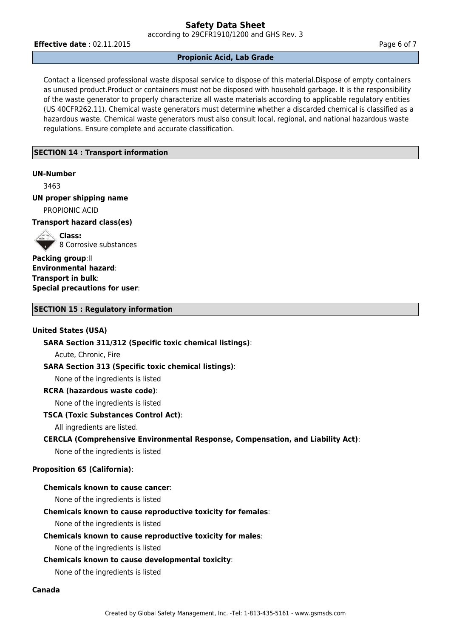according to 29CFR1910/1200 and GHS Rev. 3

**Effective date** : 02.11.2015 **Page 6 of 7 Page 6 of 7** 

#### **Propionic Acid, Lab Grade**

Contact a licensed professional waste disposal service to dispose of this material.Dispose of empty containers as unused product.Product or containers must not be disposed with household garbage. It is the responsibility of the waste generator to properly characterize all waste materials according to applicable regulatory entities (US 40CFR262.11). Chemical waste generators must determine whether a discarded chemical is classified as a hazardous waste. Chemical waste generators must also consult local, regional, and national hazardous waste regulations. Ensure complete and accurate classification.

# **SECTION 14 : Transport information**

#### **UN-Number**

3463

# **UN proper shipping name**

PROPIONIC ACID

# **Transport hazard class(es)**

**Class:**  $\mathscr{C}$  8 Corrosive substances

**Packing group**:II **Environmental hazard**: **Transport in bulk**: **Special precautions for user**:

#### **SECTION 15 : Regulatory information**

#### **United States (USA)**

**SARA Section 311/312 (Specific toxic chemical listings)**:

Acute, Chronic, Fire

# **SARA Section 313 (Specific toxic chemical listings)**:

None of the ingredients is listed

#### **RCRA (hazardous waste code)**:

None of the ingredients is listed

#### **TSCA (Toxic Substances Control Act)**:

All ingredients are listed.

# **CERCLA (Comprehensive Environmental Response, Compensation, and Liability Act)**:

None of the ingredients is listed

# **Proposition 65 (California)**:

# **Chemicals known to cause cancer**:

None of the ingredients is listed

# **Chemicals known to cause reproductive toxicity for females**:

None of the ingredients is listed

#### **Chemicals known to cause reproductive toxicity for males**:

None of the ingredients is listed

### **Chemicals known to cause developmental toxicity**:

None of the ingredients is listed

#### **Canada**